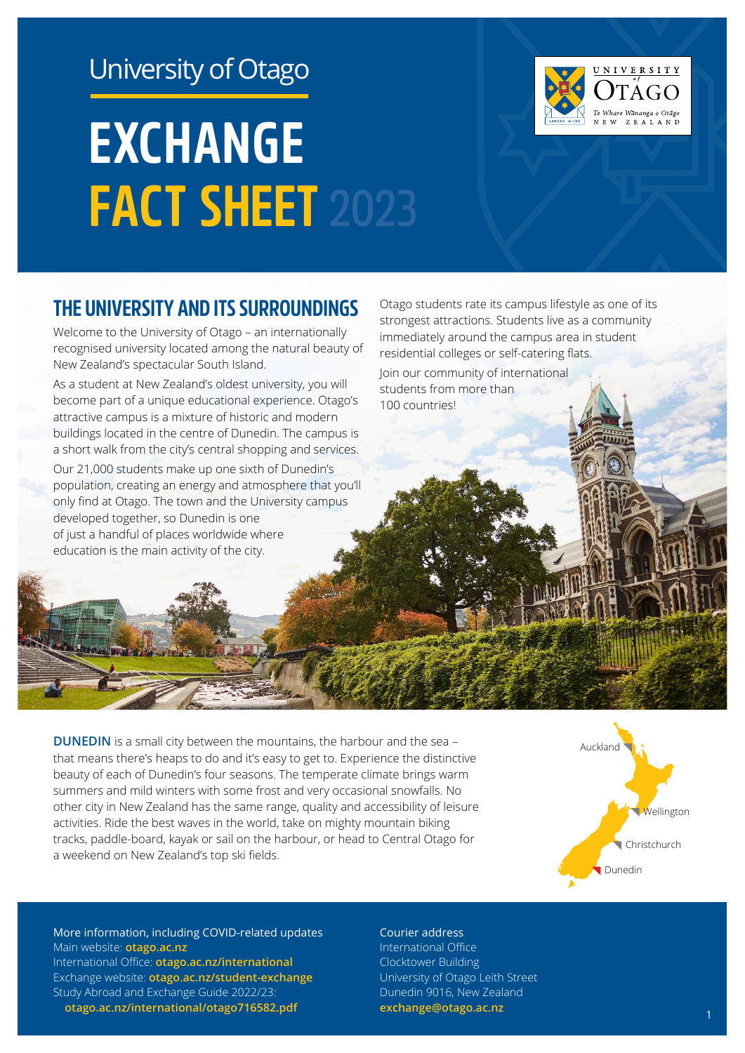# University of Otago

# **EXCHANGE FACT SHEET 2023**



Welcome to the University of Otago – an internationally recognised university located among the natural beauty of New Zealand's spectacular South Island.

As a student at New Zealand's oldest university, you will become part of a unique educational experience. Otago's attractive campus is a mixture of historic and modern buildings located in the centre of Dunedin. The campus is a short walk from the city's central shopping and services.

Our 21,000 students make up one sixth of Dunedin's population, creating an energy and atmosphere that you'll only find at Otago. The town and the University campus developed together, so Dunedin is one of just a handful of places worldwide where education is the main activity of the city.

Otago students rate its campus lifestyle as one of its strongest attractions. Students live as a community immediately around the campus area in student residential colleges or self-catering flats.

Join our community of international students from more than 100 countries!

**DUNEDIN** is a small city between the mountains, the harbour and the sea that means there's heaps to do and it's easy to get to. Experience the distinctive beauty of each of Dunedin's four seasons. The temperate climate brings warm summers and mild winters with some frost and very occasional snowfalls. No other city in New Zealand has the same range, quality and accessibility of leisure activities. Ride the best waves in the world, take on mighty mountain biking tracks, paddle-board, kayak or sail on the harbour, or head to Central Otago for a weekend on New Zealand's top ski fields.



J N I V E R S I T Y

Whare Wānanga o Otãgo ZEALAND

More information, including COVID-related updates Main website: **[otago.ac.nz](http://otago.ac.nz)** International Office: **[otago.ac.nz/international](http://otago.ac.nz/international)** Exchange website: **[otago.ac.nz/student-exchange](http://otago.ac.nz/student-exchange)** Study Abroad and Exchange Guide 2022/23: **[otago.ac.nz/international/otago716582.pdf](http://otago.ac.nz/international/otago716582.pdf)**

#### Courier address

International Office Clocktower Building University of Otago Leith Street Dunedin 9016, New Zealand **[exchange@otago.ac.nz](mailto:?subject=)** <sup>1</sup>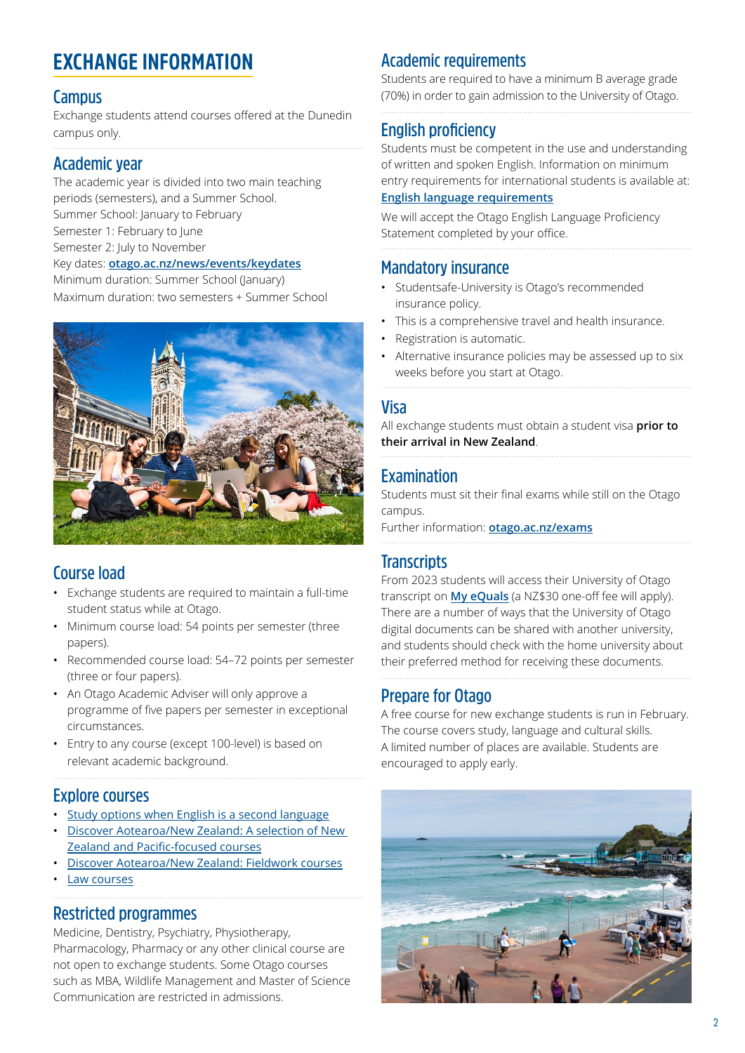# **EXCHANGE INFORMATION**

#### **Campus**

Exchange students attend courses offered at the Dunedin campus only.

#### **Academic year**

The academic year is divided into two main teaching periods (semesters), and a Summer School. Summer School: January to February Semester 1: February to June Semester 2: July to November Key dates: **[otago.ac.nz/news/events/keydates](http://otago.ac.nz/news/events/keydates)** Minimum duration: Summer School (January)





#### **Course load**

- Exchange students are required to maintain a full-time student status while at Otago.
- Minimum course load: 54 points per semester (three papers).
- Recommended course load: 54–72 points per semester (three or four papers).
- An Otago Academic Adviser will only approve a programme of five papers per semester in exceptional circumstances.
- Entry to any course (except 100-level) is based on relevant academic background.

#### **Explore courses**

- [Study options when English is a second language](https://www.otago.ac.nz/international/otago702094.pdf)
- [Discover Aotearoa/New Zealand: A selection of New](https://www.otago.ac.nz/international/otago698256.pdf)  [Zealand and Pacific-focused courses](https://www.otago.ac.nz/international/otago698256.pdf)
- [Discover Aotearoa/New Zealand: Fieldwork courses](https://www.otago.ac.nz/international/otago696798.pdf) [Law courses](https://www.otago.ac.nz/law/undergraduate/international/)

## **Restricted programmes**

Medicine, Dentistry, Psychiatry, Physiotherapy, Pharmacology, Pharmacy or any other clinical course are not open to exchange students. Some Otago courses such as MBA, Wildlife Management and Master of Science Communication are restricted in admissions.

### **Academic requirements**

Students are required to have a minimum B average grade (70%) in order to gain admission to the University of Otago.

### **English proficiency**

Students must be competent in the use and understanding of written and spoken English. Information on minimum entry requirements for international students is available at: **[English language requirements](https://www.otago.ac.nz/international/future-students/entrance-requirements/english-language-requirements/index.html)**

We will accept the Otago English Language Proficiency Statement completed by your office.

#### **Mandatory insurance**

- Studentsafe-University is Otago's recommended insurance policy.
- This is a comprehensive travel and health insurance.
- Registration is automatic.
- Alternative insurance policies may be assessed up to six weeks before you start at Otago.

#### **Visa**

All exchange students must obtain a student visa **prior to their arrival in New Zealand**.

#### **Examination**

Students must sit their final exams while still on the Otago campus.

Further information: **[otago.ac.nz/exams](http://otago.ac.nz/exams)**

#### **Transcripts**

From 2023 students will access their University of Otago transcript on **[My eQuals](https://www.otago.ac.nz/study/otago653691.html)** (a NZ\$30 one-off fee will apply). There are a number of ways that the University of Otago digital documents can be shared with another university, and students should check with the home university about their preferred method for receiving these documents.

#### **Prepare for Otago**

A free course for new exchange students is run in February. The course covers study, language and cultural skills. A limited number of places are available. Students are encouraged to apply early.